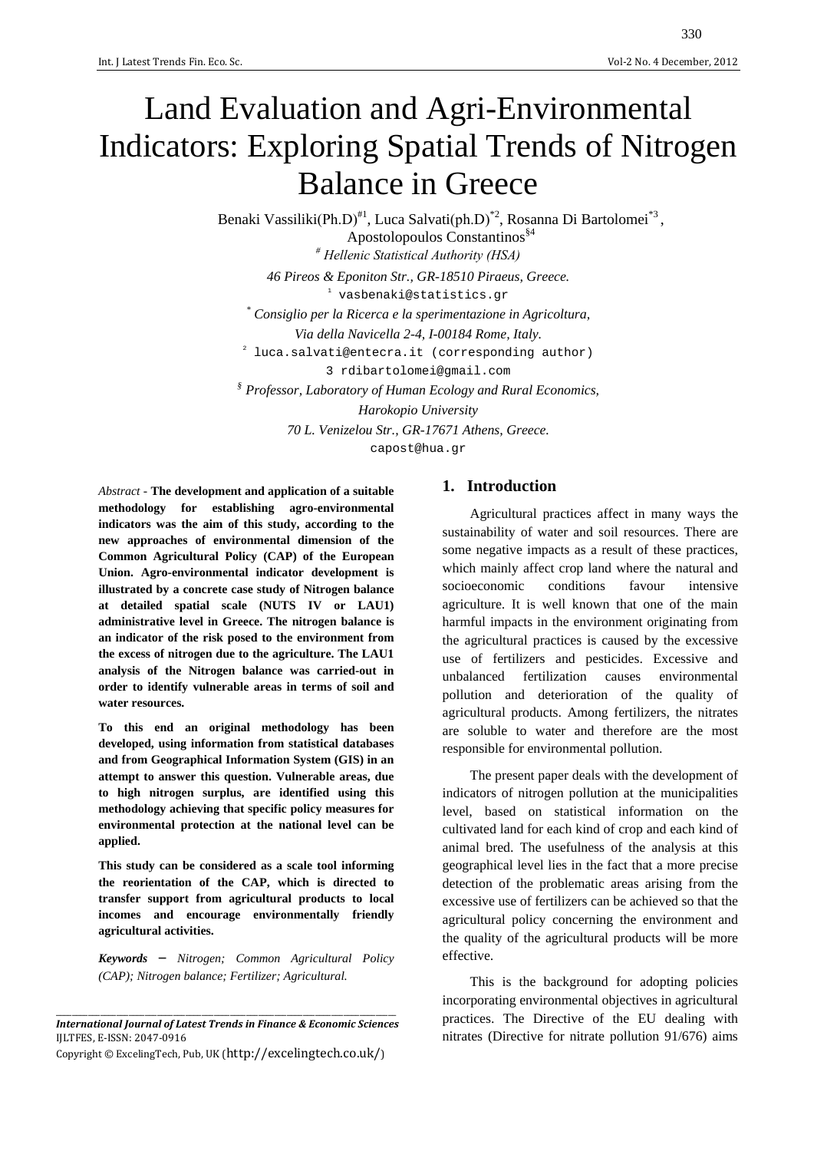# Land Evaluation and Agri-Environmental Indicators: Exploring Spatial Trends of Nitrogen Balance in Greece

Benaki Vassiliki(Ph.D)<sup>#1</sup>, Luca Salvati(ph.D)<sup>\*2</sup>, Rosanna Di Bartolomei<sup>\*3</sup>,

Apostolopoulos Constantinos§4 *# Hellenic Statistical Authority (HSA) 46 Pireos & Eponiton Str., GR-18510 Piraeus, Greece.*  <sup>1</sup> [vasbenaki@statistics.gr](mailto:vasbenaki@statistics.gr) *\* Consiglio per la Ricerca e la sperimentazione in Agricoltura, Via della Navicella 2-4, I-00184 Rome, Italy.* 2 [luca.salvati@entecra.it](mailto:luca.salvati@entecra.it) (corresponding author) 3 [rdibartolomei@gmail.com](mailto:luca.salvati@entecra.it) *§ Professor, Laboratory of Human Ecology and Rural Economics, Harokopio University 70 L. Venizelou Str., GR-17671 Athens, Greece.*

[capost@hua.gr](mailto:capost@hua.gr)

*Abstract* - **The development and application of a suitable methodology for establishing agro-environmental indicators was the aim of this study, according to the new approaches of environmental dimension of the Common Agricultural Policy (CAP) of the European Union. Agro-environmental indicator development is illustrated by a concrete case study of Nitrogen balance at detailed spatial scale (NUTS IV or LAU1) administrative level in Greece. The nitrogen balance is an indicator of the risk posed to the environment from the excess of nitrogen due to the agriculture. The LAU1 analysis of the Nitrogen balance was carried-out in order to identify vulnerable areas in terms of soil and water resources.**

**To this end an original methodology has been developed, using information from statistical databases and from Geographical Information System (GIS) in an attempt to answer this question. Vulnerable areas, due to high nitrogen surplus, are identified using this methodology achieving that specific policy measures for environmental protection at the national level can be applied.**

**This study can be considered as a scale tool informing the reorientation of the CAP, which is directed to transfer support from agricultural products to local incomes and encourage environmentally friendly agricultural activities.**

*Keywords* – *Nitrogen; Common Agricultural Policy (CAP); Nitrogen balance; Fertilizer; Agricultural.* 

# **1. Introduction**

Agricultural practices affect in many ways the sustainability of water and soil resources. There are some negative impacts as a result of these practices, which mainly affect crop land where the natural and socioeconomic conditions favour intensive agriculture. It is well known that one of the main harmful impacts in the environment originating from the agricultural practices is caused by the excessive use of fertilizers and pesticides. Excessive and unbalanced fertilization causes environmental pollution and deterioration of the quality of agricultural products. Among fertilizers, the nitrates are soluble to water and therefore are the most responsible for environmental pollution.

The present paper deals with the development of indicators of nitrogen pollution at the municipalities level, based on statistical information on the cultivated land for each kind of crop and each kind of animal bred. The usefulness of the analysis at this geographical level lies in the fact that a more precise detection of the problematic areas arising from the excessive use of fertilizers can be achieved so that the agricultural policy concerning the environment and the quality of the agricultural products will be more effective.

This is the background for adopting policies incorporating environmental objectives in agricultural practices. The Directive of the EU dealing with nitrates (Directive for nitrate pollution 91/676) aims

\_\_\_\_\_\_\_\_\_\_\_\_\_\_\_\_\_\_\_\_\_\_\_\_\_\_\_\_\_\_\_\_\_\_\_\_\_\_\_\_\_\_\_\_\_\_\_\_\_\_\_\_\_\_\_\_\_\_\_\_\_\_\_\_\_\_\_\_\_\_\_\_\_\_\_\_\_\_\_\_\_\_\_\_ *International Journal of Latest Trends in Finance & Economic Sciences* IJLTFES, E-ISSN: 2047-0916

Copyright © ExcelingTech, Pub, UK [\(http://excelingtech.co.uk/\)](http://excelingtech.co.uk/)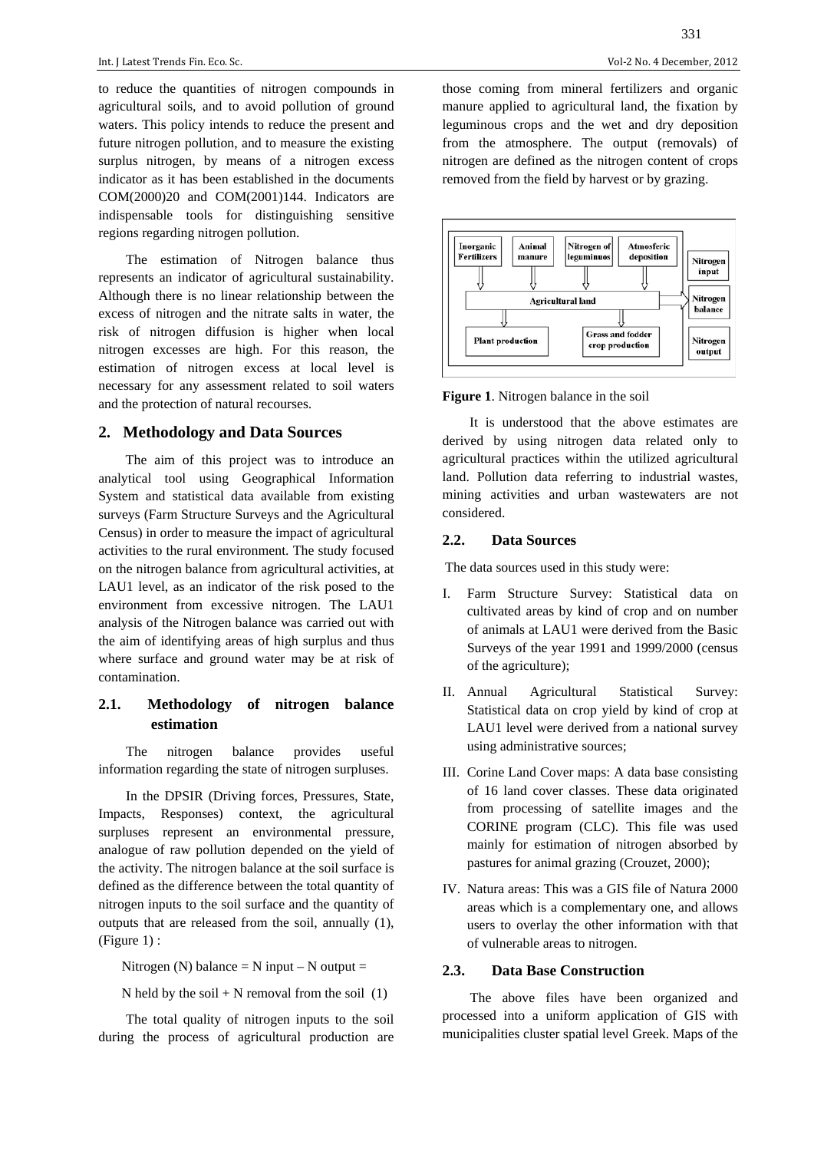to reduce the quantities of nitrogen compounds in agricultural soils, and to avoid pollution of ground waters. This policy intends to reduce the present and future nitrogen pollution, and to measure the existing surplus nitrogen, by means of a nitrogen excess indicator as it has been established in the documents COM(2000)20 and COM(2001)144. Indicators are indispensable tools for distinguishing sensitive regions regarding nitrogen pollution.

The estimation of Nitrogen balance thus represents an indicator of agricultural sustainability. Although there is no linear relationship between the excess of nitrogen and the nitrate salts in water, the risk of nitrogen diffusion is higher when local nitrogen excesses are high. For this reason, the estimation of nitrogen excess at local level is necessary for any assessment related to soil waters and the protection of natural recourses.

#### **2. Methodology and Data Sources**

The aim of this project was to introduce an analytical tool using Geographical Information System and statistical data available from existing surveys (Farm Structure Surveys and the Agricultural Census) in order to measure the impact of agricultural activities to the rural environment. The study focused on the nitrogen balance from agricultural activities, at LAU1 level, as an indicator of the risk posed to the environment from excessive nitrogen. The LAU1 analysis of the Nitrogen balance was carried out with the aim of identifying areas of high surplus and thus where surface and ground water may be at risk of contamination.

# **2.1. Methodology of nitrogen balance estimation**

The nitrogen balance provides useful information regarding the state of nitrogen surpluses.

In the DPSIR (Driving forces, Pressures, State, Impacts, Responses) context, the agricultural surpluses represent an environmental pressure, analogue of raw pollution depended on the yield of the activity. The nitrogen balance at the soil surface is defined as the difference between the total quantity of nitrogen inputs to the soil surface and the quantity of outputs that are released from the soil, annually (1), (Figure 1) :

Nitrogen (N) balance  $= N$  input  $- N$  output  $=$ 

N held by the soil  $+ N$  removal from the soil  $(1)$ 

The total quality of nitrogen inputs to the soil during the process of agricultural production are 331

those coming from mineral fertilizers and organic manure applied to agricultural land, the fixation by leguminous crops and the wet and dry deposition from the atmosphere. The output (removals) of nitrogen are defined as the nitrogen content of crops removed from the field by harvest or by grazing.



**Figure 1**. Nitrogen balance in the soil

It is understood that the above estimates are derived by using nitrogen data related only to agricultural practices within the utilized agricultural land. Pollution data referring to industrial wastes, mining activities and urban wastewaters are not considered.

#### **2.2. Data Sources**

The data sources used in this study were:

- I. Farm Structure Survey: Statistical data on cultivated areas by kind of crop and on number of animals at LAU1 were derived from the Basic Surveys of the year 1991 and 1999/2000 (census of the agriculture);
- II. Annual Agricultural Statistical Survey: Statistical data on crop yield by kind of crop at LAU1 level were derived from a national survey using administrative sources;
- III. Corine Land Cover maps: A data base consisting of 16 land cover classes. These data originated from processing of satellite images and the CORINE program (CLC). This file was used mainly for estimation of nitrogen absorbed by pastures for animal grazing (Crouzet, 2000);
- IV. Natura areas: This was a GIS file of Natura 2000 areas which is a complementary one, and allows users to overlay the other information with that of vulnerable areas to nitrogen.

#### **2.3. Data Base Construction**

The above files have been organized and processed into a uniform application of GIS with municipalities cluster spatial level Greek. Maps of the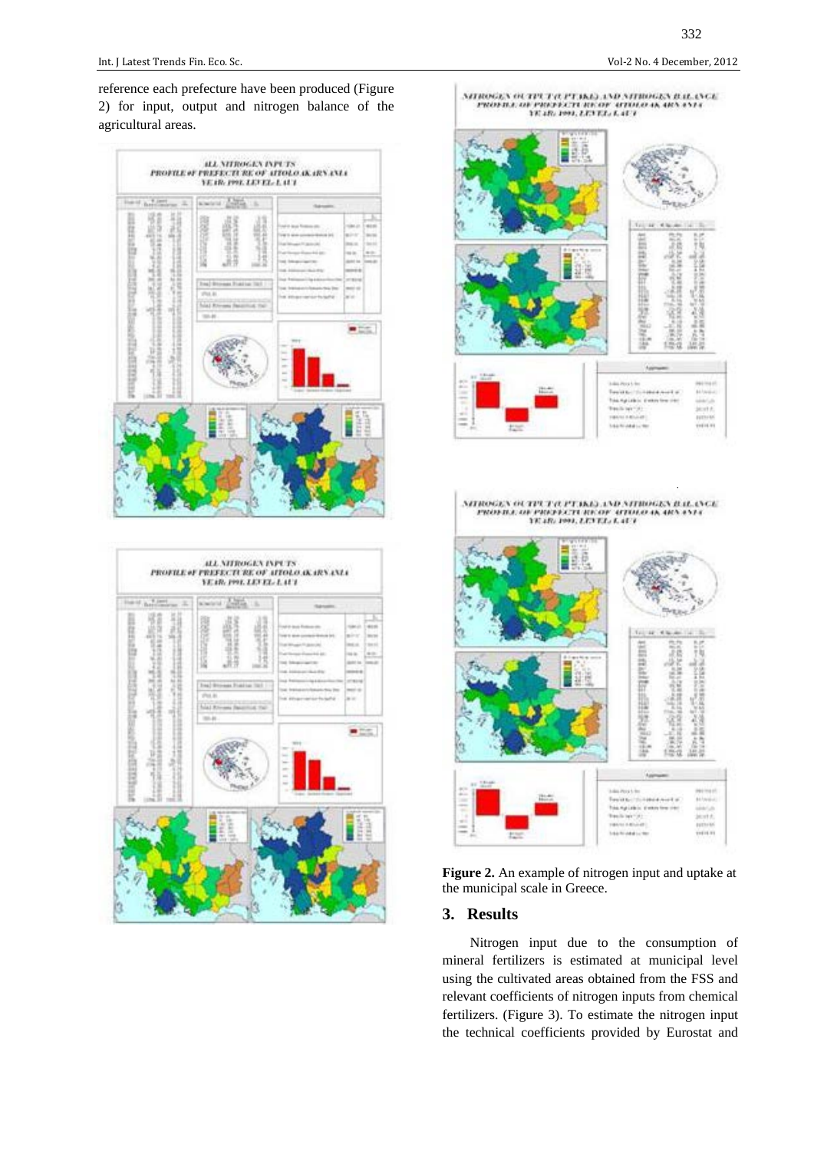reference each prefecture have been produced (Figure 2) for input, output and nitrogen balance of the agricultural areas.



| Hotel Artists<br>主 | alward Control<br><b>TB</b>                                                              | <b>Submarine:</b>                                                                                                                                                                                                                                                                                                                                                                           |
|--------------------|------------------------------------------------------------------------------------------|---------------------------------------------------------------------------------------------------------------------------------------------------------------------------------------------------------------------------------------------------------------------------------------------------------------------------------------------------------------------------------------------|
| 目記品<br>m<br>٠      | u<br>셨<br>œ<br>Ing Brows Force Inc.<br>$270.6$ .<br>hiat Room Baserout the<br>$100 - 40$ | <b>Hara</b><br>44.65<br>al si desa Ros<br>and streets late.<br><b>MOV</b><br><b>SILVAN</b><br>12 Minds car<br>textile.<br><b>INGLOSE</b><br><b>ALCOHOL:</b><br>models date:<br><b>Canada</b><br>state to<br>ted follows:<br><b>Senato</b><br><b>HERE</b><br>A 10040116-006<br>to Advance<br><b>UTRIAL</b><br>ment and<br><b>Solution thru The</b><br>THE Athletination fix buffall<br>in or |
| B<br>E<br>ь        |                                                                                          | $-11$<br>$\sim$<br>$=$<br>$\sim$<br><b>Sales Str</b>                                                                                                                                                                                                                                                                                                                                        |
|                    | ٠<br>珪<br>E<br>в<br>ю                                                                    |                                                                                                                                                                                                                                                                                                                                                                                             |
|                    |                                                                                          |                                                                                                                                                                                                                                                                                                                                                                                             |





**Figure 2.** An example of nitrogen input and uptake at the municipal scale in Greece.

### **3. Results**

Nitrogen input due to the consumption of mineral fertilizers is estimated at municipal level using the cultivated areas obtained from the FSS and relevant coefficients of nitrogen inputs from chemical fertilizers. (Figure 3). To estimate the nitrogen input the technical coefficients provided by Eurostat and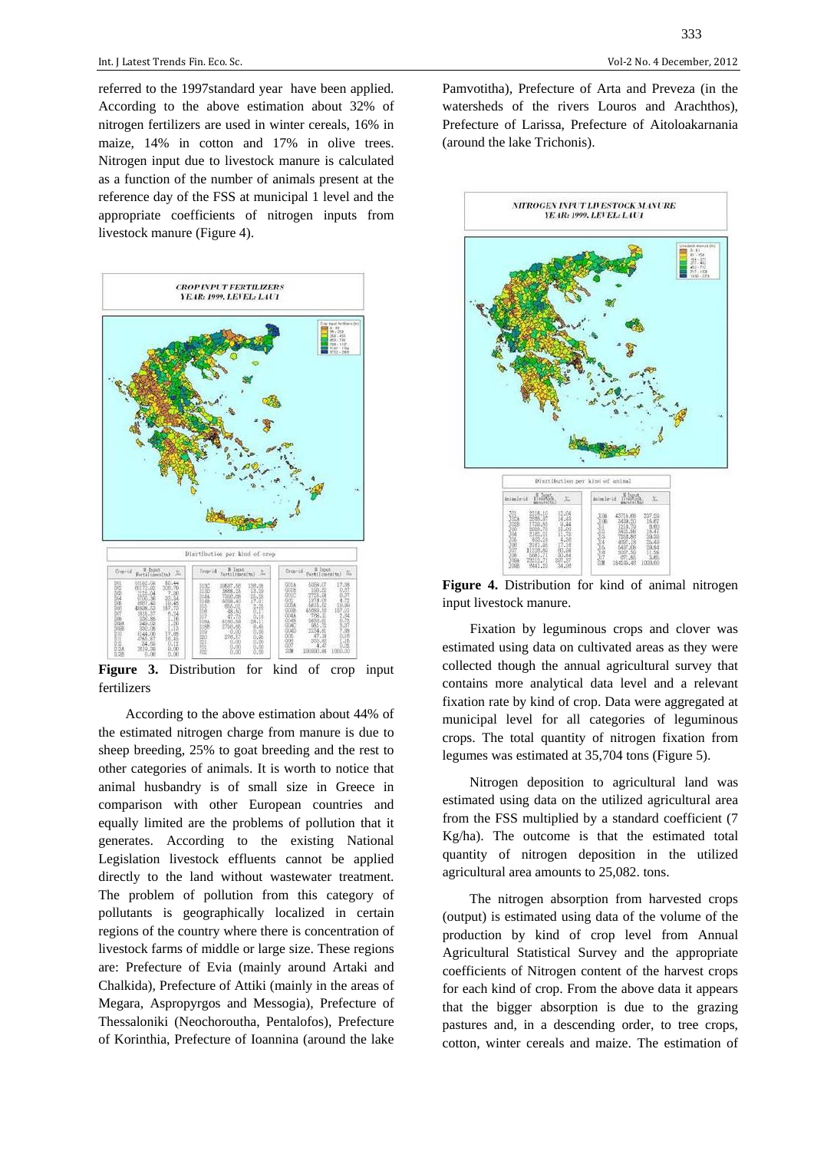referred to the 1997standard year have been applied. According to the above estimation about 32% of nitrogen fertilizers are used in winter cereals, 16% in maize, 14% in cotton and 17% in olive trees. Nitrogen input due to livestock manure is calculated as a function of the number of animals present at the reference day of the FSS at municipal 1 level and the appropriate coefficients of nitrogen inputs from livestock manure (Figure 4).



**Figure 3.** Distribution for kind of crop input fertilizers

According to the above estimation about 44% of the estimated nitrogen charge from manure is due to sheep breeding, 25% to goat breeding and the rest to other categories of animals. It is worth to notice that animal husbandry is of small size in Greece in comparison with other European countries and equally limited are the problems of pollution that it generates. According to the existing National Legislation livestock effluents cannot be applied directly to the land without wastewater treatment. The problem of pollution from this category of pollutants is geographically localized in certain regions of the country where there is concentration of livestock farms of middle or large size. These regions are: Prefecture of Evia (mainly around Artaki and Chalkida), Prefecture of Attiki (mainly in the areas of Megara, Aspropyrgos and Messogia), Prefecture of Thessaloniki (Neochoroutha, Pentalofos), Prefecture of Korinthia, Prefecture of Ioannina (around the lake

333

Pamvotitha), Prefecture of Arta and Preveza (in the watersheds of the rivers Louros and Arachthos), Prefecture of Larissa, Prefecture of Aitoloakarnania (around the lake Trichonis).



**Figure 4.** Distribution for kind of animal nitrogen input livestock manure.

Fixation by leguminous crops and clover was estimated using data on cultivated areas as they were collected though the annual agricultural survey that contains more analytical data level and a relevant fixation rate by kind of crop. Data were aggregated at municipal level for all categories of leguminous crops. The total quantity of nitrogen fixation from legumes was estimated at 35,704 tons (Figure 5).

Nitrogen deposition to agricultural land was estimated using data on the utilized agricultural area from the FSS multiplied by a standard coefficient (7 Kg/ha). The outcome is that the estimated total quantity of nitrogen deposition in the utilized agricultural area amounts to 25,082. tons.

The nitrogen absorption from harvested crops (output) is estimated using data of the volume of the production by kind of crop level from Annual Agricultural Statistical Survey and the appropriate coefficients of Nitrogen content of the harvest crops for each kind of crop. From the above data it appears that the bigger absorption is due to the grazing pastures and, in a descending order, to tree crops, cotton, winter cereals and maize. The estimation of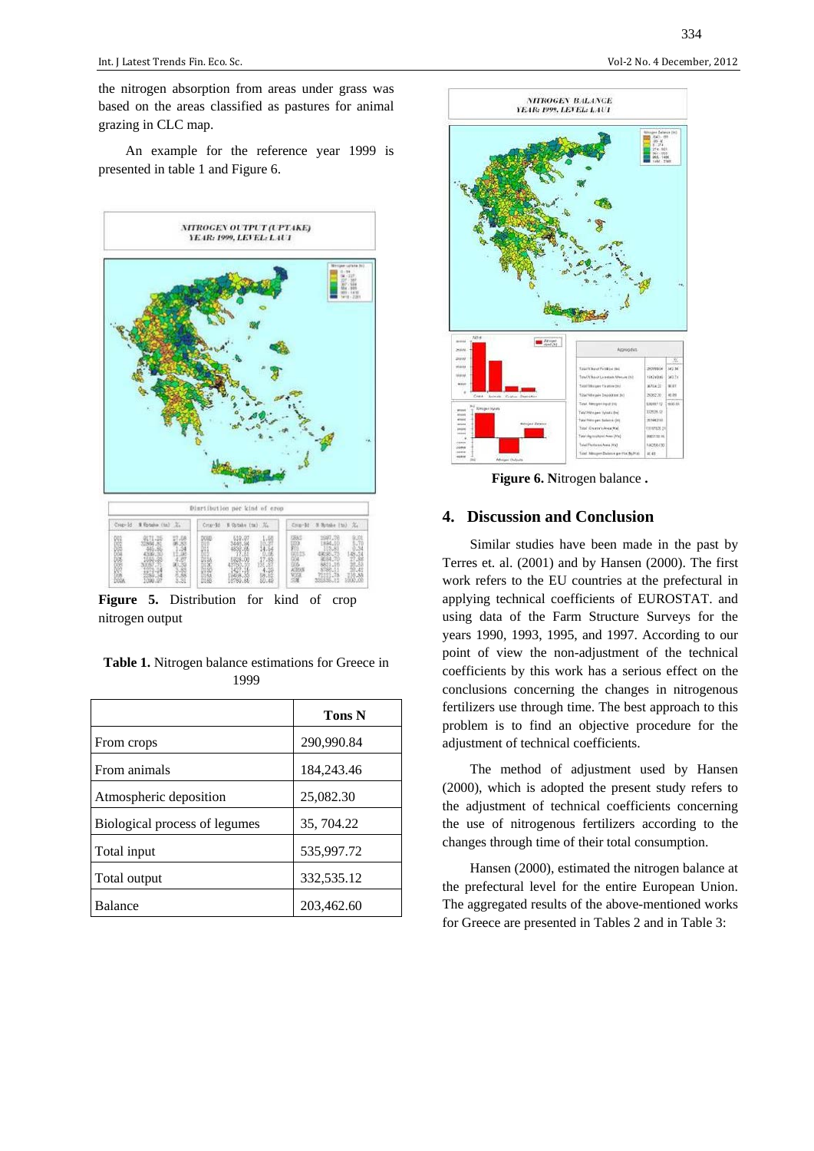the nitrogen absorption from areas under grass was based on the areas classified as pastures for animal grazing in CLC map.

An example for the reference year 1999 is presented in table 1 and Figure 6.



**Figure 5.** Distribution for kind of crop nitrogen output

| <b>Table 1.</b> Nitrogen balance estimations for Greece in |      |  |  |
|------------------------------------------------------------|------|--|--|
|                                                            | 1999 |  |  |

|                               | <b>Tons N</b> |
|-------------------------------|---------------|
| From crops                    | 290,990.84    |
| From animals                  | 184,243.46    |
| Atmospheric deposition        | 25,082.30     |
| Biological process of legumes | 35, 704.22    |
| Total input                   | 535,997.72    |
| Total output                  | 332,535.12    |
| <b>Balance</b>                | 203,462.60    |



**Figure 6. N**itrogen balance **.** 

# **4. Discussion and Conclusion**

Similar studies have been made in the past by Terres et. al. (2001) and by Hansen (2000). The first work refers to the EU countries at the prefectural in applying technical coefficients of EUROSTAT. and using data of the Farm Structure Surveys for the years 1990, 1993, 1995, and 1997. According to our point of view the non-adjustment of the technical coefficients by this work has a serious effect on the conclusions concerning the changes in nitrogenous fertilizers use through time. The best approach to this problem is to find an objective procedure for the adjustment of technical coefficients.

The method of adjustment used by Hansen (2000), which is adopted the present study refers to the adjustment of technical coefficients concerning the use of nitrogenous fertilizers according to the changes through time of their total consumption.

Hansen (2000), estimated the nitrogen balance at the prefectural level for the entire European Union. The aggregated results of the above-mentioned works for Greece are presented in Tables 2 and in Table 3:

334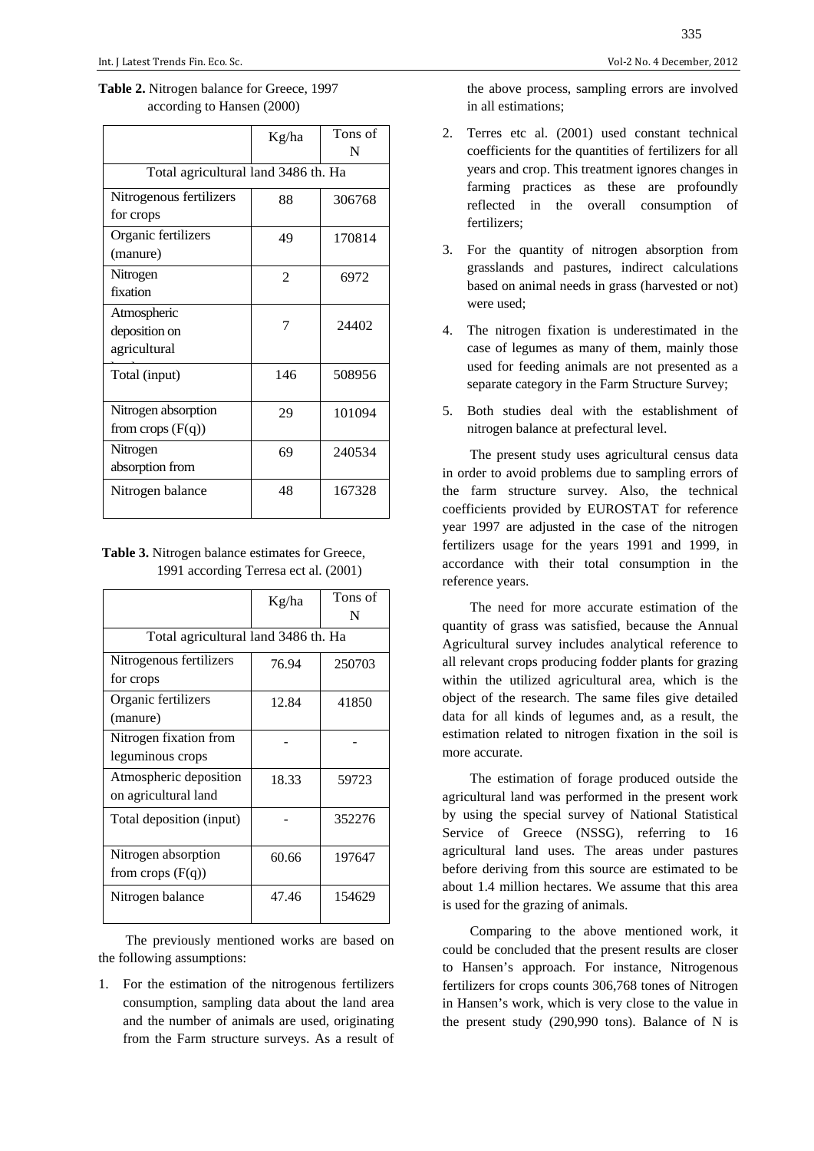| <b>Table 2.</b> Nitrogen balance for Greece, 1997 |  |
|---------------------------------------------------|--|
| according to Hansen (2000)                        |  |

|                                              | Kg/ha          | Tons of<br>N |  |
|----------------------------------------------|----------------|--------------|--|
| Total agricultural land 3486 th. Ha          |                |              |  |
| Nitrogenous fertilizers<br>for crops         | 88             | 306768       |  |
| Organic fertilizers<br>(manure)              | 49             | 170814       |  |
| Nitrogen<br>fixation                         | $\overline{2}$ | 6972         |  |
| Atmospheric<br>deposition on<br>agricultural | 7              | 24402        |  |
| Total (input)                                | 146            | 508956       |  |
| Nitrogen absorption<br>from crops $(F(q))$   | 29             | 101094       |  |
| Nitrogen<br>absorption from                  | 69             | 240534       |  |
| Nitrogen balance                             | 48             | 167328       |  |

**Table 3.** Nitrogen balance estimates for Greece, 1991 according Terresa ect al. (2001)

|                                                | Kg/ha | Tons of<br>N |  |  |
|------------------------------------------------|-------|--------------|--|--|
| Total agricultural land 3486 th. Ha            |       |              |  |  |
| Nitrogenous fertilizers<br>for crops           | 76.94 | 250703       |  |  |
| Organic fertilizers<br>(manure)                | 12.84 | 41850        |  |  |
| Nitrogen fixation from<br>leguminous crops     |       |              |  |  |
| Atmospheric deposition<br>on agricultural land | 18.33 | 59723        |  |  |
| Total deposition (input)                       |       | 352276       |  |  |
| Nitrogen absorption<br>from crops $(F(q))$     | 60.66 | 197647       |  |  |
| Nitrogen balance                               | 47.46 | 154629       |  |  |

The previously mentioned works are based on the following assumptions:

1. For the estimation of the nitrogenous fertilizers consumption, sampling data about the land area and the number of animals are used, originating from the Farm structure surveys. As a result of

the above process, sampling errors are involved in all estimations;

- 2. Terres etc al. (2001) used constant technical coefficients for the quantities of fertilizers for all years and crop. This treatment ignores changes in farming practices as these are profoundly reflected in the overall consumption of fertilizers;
- 3. For the quantity of nitrogen absorption from grasslands and pastures, indirect calculations based on animal needs in grass (harvested or not) were used;
- 4. The nitrogen fixation is underestimated in the case of legumes as many of them, mainly those used for feeding animals are not presented as a separate category in the Farm Structure Survey;
- 5. Both studies deal with the establishment of nitrogen balance at prefectural level.

The present study uses agricultural census data in order to avoid problems due to sampling errors of the farm structure survey. Also, the technical coefficients provided by EUROSTAT for reference year 1997 are adjusted in the case of the nitrogen fertilizers usage for the years 1991 and 1999, in accordance with their total consumption in the reference years.

The need for more accurate estimation of the quantity of grass was satisfied, because the Annual Agricultural survey includes analytical reference to all relevant crops producing fodder plants for grazing within the utilized agricultural area, which is the object of the research. The same files give detailed data for all kinds of legumes and, as a result, the estimation related to nitrogen fixation in the soil is more accurate.

The estimation of forage produced outside the agricultural land was performed in the present work by using the special survey of National Statistical Service of Greece (NSSG), referring to 16 agricultural land uses. The areas under pastures before deriving from this source are estimated to be about 1.4 million hectares. We assume that this area is used for the grazing of animals.

Comparing to the above mentioned work, it could be concluded that the present results are closer to Hansen's approach. For instance, Nitrogenous fertilizers for crops counts 306,768 tones of Nitrogen in Hansen's work, which is very close to the value in the present study (290,990 tons). Balance of N is